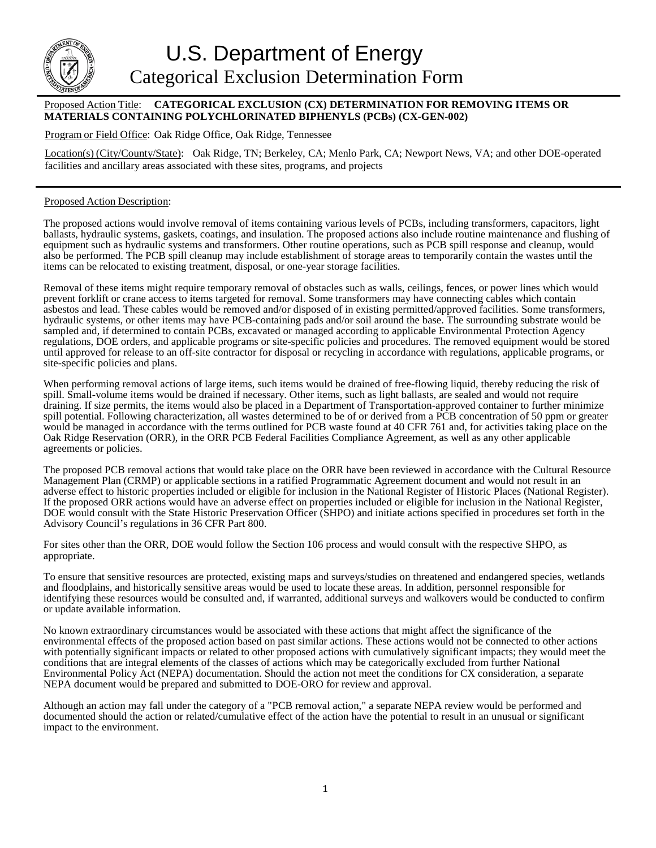

## Proposed Action Title: **CATEGORICAL EXCLUSION (CX) DETERMINATION FOR REMOVING ITEMS OR MATERIALS CONTAINING POLYCHLORINATED BIPHENYLS (PCBs) (CX-GEN-002)**

Program or Field Office: Oak Ridge Office, Oak Ridge, Tennessee

Location(s) (City/County/State): Oak Ridge, TN; Berkeley, CA; Menlo Park, CA; Newport News, VA; and other DOE-operated facilities and ancillary areas associated with these sites, programs, and projects

## Proposed Action Description:

The proposed actions would involve removal of items containing various levels of PCBs, including transformers, capacitors, light ballasts, hydraulic systems, gaskets, coatings, and insulation. The proposed actions also include routine maintenance and flushing of equipment such as hydraulic systems and transformers. Other routine operations, such as PCB spill response and cleanup, would also be performed. The PCB spill cleanup may include establishment of storage areas to temporarily contain the wastes until the items can be relocated to existing treatment, disposal, or one-year storage facilities.

Removal of these items might require temporary removal of obstacles such as walls, ceilings, fences, or power lines which would prevent forklift or crane access to items targeted for removal. Some transformers may have connecting cables which contain asbestos and lead. These cables would be removed and/or disposed of in existing permitted/approved facilities. Some transformers, hydraulic systems, or other items may have PCB-containing pads and/or soil around the base. The surrounding substrate would be sampled and, if determined to contain PCBs, excavated or managed according to applicable Environmental Protection Agency regulations, DOE orders, and applicable programs or site-specific policies and procedures. The removed equipment would be stored until approved for release to an off-site contractor for disposal or recycling in accordance with regulations, applicable programs, or site-specific policies and plans.

When performing removal actions of large items, such items would be drained of free-flowing liquid, thereby reducing the risk of spill. Small-volume items would be drained if necessary. Other items, such as light ballasts, are sealed and would not require draining. If size permits, the items would also be placed in a Department of Transportation-approved container to further minimize spill potential. Following characterization, all wastes determined to be of or derived from a PCB concentration of 50 ppm or greater would be managed in accordance with the terms outlined for PCB waste found at 40 CFR 761 and, for activities taking place on the Oak Ridge Reservation (ORR), in the ORR PCB Federal Facilities Compliance Agreement, as well as any other applicable agreements or policies.

The proposed PCB removal actions that would take place on the ORR have been reviewed in accordance with the Cultural Resource Management Plan (CRMP) or applicable sections in a ratified Programmatic Agreement document and would not result in an adverse effect to historic properties included or eligible for inclusion in the National Register of Historic Places (National Register). If the proposed ORR actions would have an adverse effect on properties included or eligible for inclusion in the National Register, DOE would consult with the State Historic Preservation Officer (SHPO) and initiate actions specified in procedures set forth in the Advisory Council's regulations in 36 CFR Part 800.

For sites other than the ORR, DOE would follow the Section 106 process and would consult with the respective SHPO, as appropriate.

To ensure that sensitive resources are protected, existing maps and surveys/studies on threatened and endangered species, wetlands and floodplains, and historically sensitive areas would be used to locate these areas. In addition, personnel responsible for identifying these resources would be consulted and, if warranted, additional surveys and walkovers would be conducted to confirm or update available information.

No known extraordinary circumstances would be associated with these actions that might affect the significance of the environmental effects of the proposed action based on past similar actions. These actions would not be connected to other actions with potentially significant impacts or related to other proposed actions with cumulatively significant impacts; they would meet the conditions that are integral elements of the classes of actions which may be categorically excluded from further National Environmental Policy Act (NEPA) documentation. Should the action not meet the conditions for CX consideration, a separate NEPA document would be prepared and submitted to DOE-ORO for review and approval.

Although an action may fall under the category of a "PCB removal action," a separate NEPA review would be performed and documented should the action or related/cumulative effect of the action have the potential to result in an unusual or significant impact to the environment.